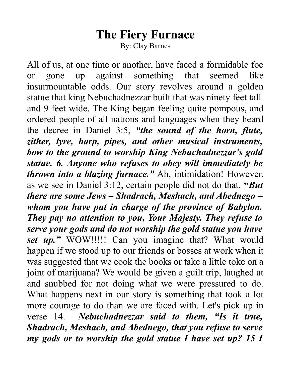## **The Fiery Furnace**

By: Clay Barnes

All of us, at one time or another, have faced a formidable foe or gone up against something that seemed like insurmountable odds. Our story revolves around a golden statue that king Nebuchadnezzar built that was ninety feet tall and 9 feet wide. The King began feeling quite pompous, and ordered people of all nations and languages when they heard the decree in Daniel 3:5, *"the sound of the horn, flute, zither, lyre, harp, pipes, and other musical instruments, bow to the ground to worship King Nebuchadnezzar's gold statue. 6. Anyone who refuses to obey will immediately be thrown into a blazing furnace."* Ah, intimidation! However, as we see in Daniel 3:12, certain people did not do that. **"***But there are some Jews – Shadrach, Meshach, and Abednego – whom you have put in charge of the province of Babylon. They pay no attention to you, Your Majesty. They refuse to serve your gods and do not worship the gold statue you have set up."* WOW!!!!! Can you imagine that? What would happen if we stood up to our friends or bosses at work when it was suggested that we cook the books or take a little toke on a joint of marijuana? We would be given a guilt trip, laughed at and snubbed for not doing what we were pressured to do. What happens next in our story is something that took a lot more courage to do than we are faced with. Let's pick up in verse 14. *Nebuchadnezzar said to them, "Is it true, Shadrach, Meshach, and Abednego, that you refuse to serve my gods or to worship the gold statue I have set up? 15 I*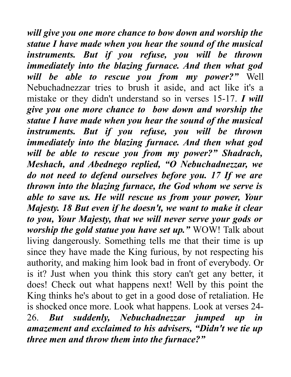*will give you one more chance to bow down and worship the statue I have made when you hear the sound of the musical instruments. But if you refuse, you will be thrown immediately into the blazing furnace. And then what god will be able to rescue you from my power?"* Well Nebuchadnezzar tries to brush it aside, and act like it's a mistake or they didn't understand so in verses 15-17. *I will give you one more chance to bow down and worship the statue I have made when you hear the sound of the musical instruments. But if you refuse, you will be thrown immediately into the blazing furnace. And then what god will be able to rescue you from my power?" Shadrach, Meshach, and Abednego replied, "O Nebuchadnezzar, we do not need to defend ourselves before you. 17 If we are thrown into the blazing furnace, the God whom we serve is able to save us. He will rescue us from your power, Your Majesty. 18 But even if he doesn't, we want to make it clear to you, Your Majesty, that we will never serve your gods or worship the gold statue you have set up."* WOW! Talk about living dangerously. Something tells me that their time is up since they have made the King furious, by not respecting his authority, and making him look bad in front of everybody. Or is it? Just when you think this story can't get any better, it does! Check out what happens next! Well by this point the King thinks he's about to get in a good dose of retaliation. He is shocked once more. Look what happens. Look at verses 24- 26. *But suddenly, Nebuchadnezzar jumped up in amazement and exclaimed to his advisers, "Didn't we tie up three men and throw them into the furnace?"*